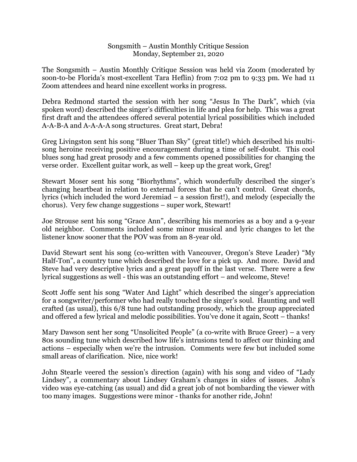## Songsmith – Austin Monthly Critique Session Monday, September 21, 2020

The Songsmith – Austin Monthly Critique Session was held via Zoom (moderated by soon-to-be Florida's most-excellent Tara Heflin) from 7:02 pm to 9:33 pm. We had 11 Zoom attendees and heard nine excellent works in progress.

Debra Redmond started the session with her song "Jesus In The Dark", which (via spoken word) described the singer's difficulties in life and plea for help. This was a great first draft and the attendees offered several potential lyrical possibilities which included A-A-B-A and A-A-A-A song structures. Great start, Debra!

Greg Livingston sent his song "Bluer Than Sky" (great title!) which described his multisong heroine receiving positive encouragement during a time of self-doubt. This cool blues song had great prosody and a few comments opened possibilities for changing the verse order. Excellent guitar work, as well – keep up the great work, Greg!

Stewart Moser sent his song "Biorhythms", which wonderfully described the singer's changing heartbeat in relation to external forces that he can't control. Great chords, lyrics (which included the word Jeremiad – a session first!), and melody (especially the chorus). Very few change suggestions – super work, Stewart!

Joe Strouse sent his song "Grace Ann", describing his memories as a boy and a 9-year old neighbor. Comments included some minor musical and lyric changes to let the listener know sooner that the POV was from an 8-year old.

David Stewart sent his song (co-written with Vancouver, Oregon's Steve Leader) "My Half-Ton", a country tune which described the love for a pick up. And more. David and Steve had very descriptive lyrics and a great payoff in the last verse. There were a few lyrical suggestions as well - this was an outstanding effort – and welcome, Steve!

Scott Joffe sent his song "Water And Light" which described the singer's appreciation for a songwriter/performer who had really touched the singer's soul. Haunting and well crafted (as usual), this 6/8 tune had outstanding prosody, which the group appreciated and offered a few lyrical and melodic possibilities. You've done it again, Scott – thanks!

Mary Dawson sent her song "Unsolicited People" (a co-write with Bruce Greer) – a very 80s sounding tune which described how life's intrusions tend to affect our thinking and actions – especially when we're the intrusion. Comments were few but included some small areas of clarification. Nice, nice work!

John Stearle veered the session's direction (again) with his song and video of "Lady Lindsey", a commentary about Lindsey Graham's changes in sides of issues. John's video was eye-catching (as usual) and did a great job of not bombarding the viewer with too many images. Suggestions were minor - thanks for another ride, John!